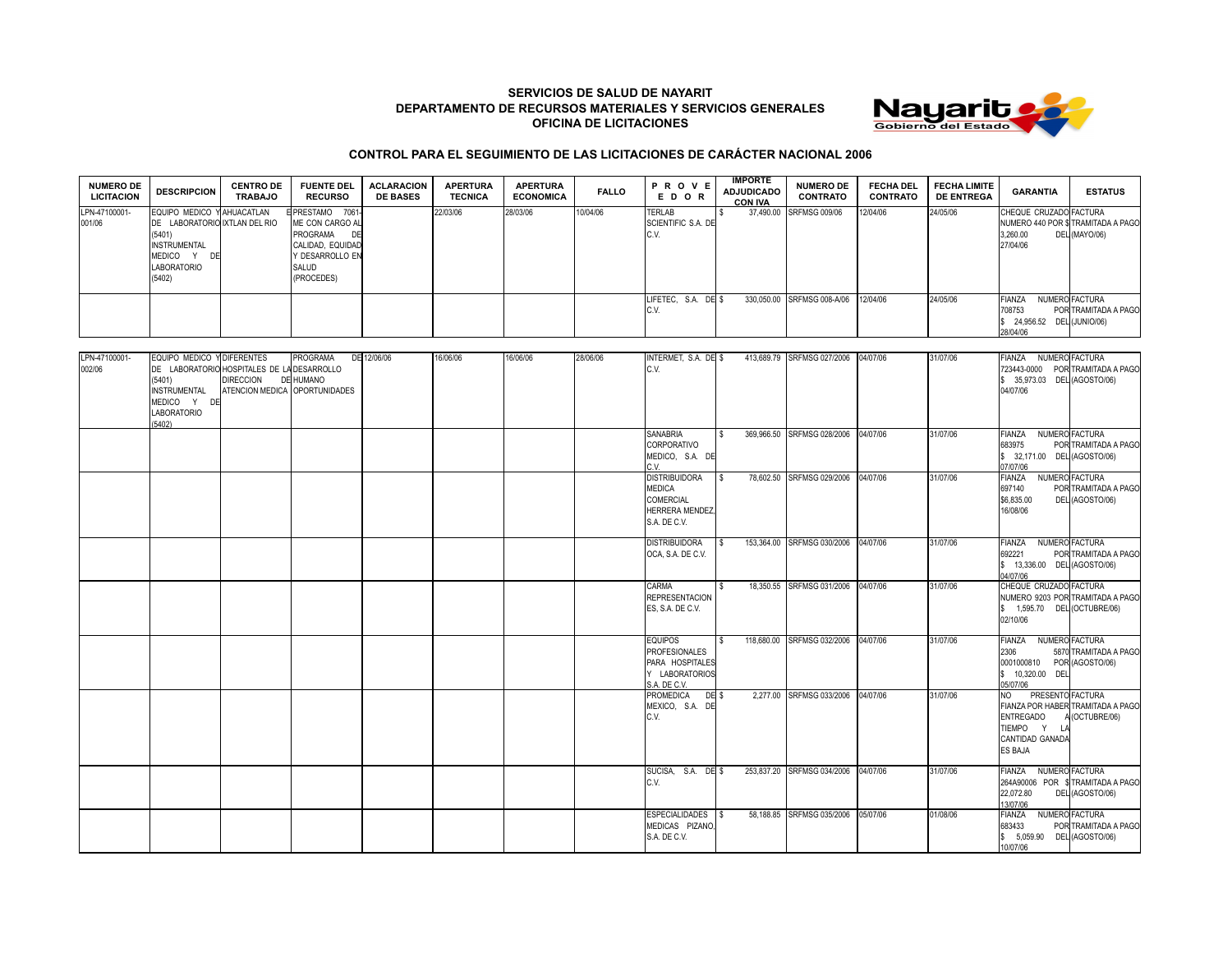## **SERVICIOS DE SALUD DE NAYARIT DEPARTAMENTO DE RECURSOS MATERIALES Y SERVICIOS GENERALES OFICINA DE LICITACIONES**



## **CONTROL PARA EL SEGUIMIENTO DE LAS LICITACIONES DE CARÁCTER NACIONAL 2006**

| <b>NUMERO DE</b><br><b>LICITACION</b> | <b>DESCRIPCION</b>                                                                                                                                   | <b>CENTRO DE</b><br><b>TRABAJO</b>                                                                     | <b>FUENTE DEL</b><br><b>RECURSO</b>                                                                                       | <b>ACLARACION</b><br><b>DE BASES</b> | <b>APERTURA</b><br><b>TECNICA</b> | <b>APERTURA</b><br><b>ECONOMICA</b> | <b>FALLO</b> | <b>PROVE</b><br>EDOR                        | <b>IMPORTE</b><br><b>ADJUDICADO</b><br>CON IVA | <b>NUMERO DE</b><br><b>CONTRATO</b> | <b>FECHA DEL</b><br><b>CONTRATO</b> | <b>FECHA LIMITE</b><br><b>DE ENTREGA</b> | <b>GARANTIA</b>                                                                                                    | <b>ESTATUS</b>                         |
|---------------------------------------|------------------------------------------------------------------------------------------------------------------------------------------------------|--------------------------------------------------------------------------------------------------------|---------------------------------------------------------------------------------------------------------------------------|--------------------------------------|-----------------------------------|-------------------------------------|--------------|---------------------------------------------|------------------------------------------------|-------------------------------------|-------------------------------------|------------------------------------------|--------------------------------------------------------------------------------------------------------------------|----------------------------------------|
| LPN-47100001-<br>001/06               | EQUIPO MEDICO Y AHUACATLAN<br>DE LABORATORIO IXTLAN DEL RIO<br>(5401)<br><b>INSTRUMENTAL</b><br><b>MEDICO</b><br>DF:<br><b>LABORATORIO</b><br>(5402) |                                                                                                        | EPRESTAMO 7061-<br>ME CON CARGO AL<br><b>PROGRAMA</b><br>DE<br>CALIDAD, EQUIDAD<br>Y DESARROLLO EN<br>SALUD<br>(PROCEDES) |                                      | 22/03/06                          | 28/03/06                            | 10/04/06     | <b>TERLAB</b><br>SCIENTIFIC S.A. DE<br>C.V. |                                                | 37,490.00 SRFMSG 009/06             | 12/04/06                            | 24/05/06                                 | CHEQUE CRUZADO FACTURA<br>NUMERO 440 POR \$TRAMITADA A PAGO<br>3.260.00<br>27/04/06                                | DEL (MAYO/06)                          |
|                                       |                                                                                                                                                      |                                                                                                        |                                                                                                                           |                                      |                                   |                                     |              | LIFETEC. S.A. DE \$<br>C.V.                 |                                                | 330.050.00 SRFMSG 008-A/06          | 12/04/06                            | 24/05/06                                 | <b>FIANZA</b><br>708753<br>24,956.52 DEL (JUNIO/06)<br>28/04/06                                                    | NUMERO FACTURA<br>POR TRAMITADA A PAGO |
| LPN-47100001-<br>002/06               | EQUIPO MEDICO YIDIFERENTES<br>(5401)<br><b>ALOTOLIA (ELITA)</b>                                                                                      | DE LABORATORIO HOSPITALES DE LA DESARROLLO<br><b>DIRECCION</b><br><b>ATENOION MEDIOA ODODTUMIDADES</b> | PROGRAMA<br><b>DE HUMANO</b>                                                                                              | DE 12/06/06                          | 16/06/06                          | 16/06/06                            | 28/06/06     | INTERMET. S.A. DE \$<br>C.V.                |                                                | 413.689.79 SRFMSG 027/2006 04/07/06 |                                     | 31/07/06                                 | <b>NUMERO FACTURA</b><br><b>FIANZA</b><br>723443-0000 POR TRAMITADA A PAGO<br>35,973.03 DEL (AGOSTO/06)<br>0.10700 |                                        |

| (5401)<br><b>INSTRUMENTAL</b><br>MEDICO Y DE<br><b>LABORATORIO</b><br>(5402) | DIRECCION DE HUMANO<br>ATENCION MEDICA OPORTUNIDADES |  |  |                                                                                              |     |                                     |          |          | \$ 35,973.03 DEL (AGOSTO/06)<br>04/07/06                                                    |                                                           |
|------------------------------------------------------------------------------|------------------------------------------------------|--|--|----------------------------------------------------------------------------------------------|-----|-------------------------------------|----------|----------|---------------------------------------------------------------------------------------------|-----------------------------------------------------------|
|                                                                              |                                                      |  |  | <b>SANABRIA</b><br><b>CORPORATIVO</b><br>MEDICO, S.A. DE<br>C.V.                             |     | 369.966.50 SRFMSG 028/2006          | 04/07/06 | 31/07/06 | FIANZA NUMERO FACTURA<br>683975<br>\$ 32,171.00 DEL (AGOSTO/06)<br>07/07/06                 | POR TRAMITADA A PAGO                                      |
|                                                                              |                                                      |  |  | <b>DISTRIBUIDORA</b><br><b>MEDICA</b><br>COMERCIAL<br><b>HERRERA MENDEZ,</b><br>S.A. DE C.V. | IS. | 78,602.50 SRFMSG 029/2006           | 04/07/06 | 31/07/06 | <b>FIANZA</b><br>697140<br>\$6,835.00<br>16/08/06                                           | NUMERO FACTURA<br>POR TRAMITADA A PAGO<br>DEL (AGOSTO/06) |
|                                                                              |                                                      |  |  | <b>DISTRIBUIDORA</b><br>OCA, S.A. DE C.V.                                                    | IS. | 153.364.00 SRFMSG 030/2006 04/07/06 |          | 31/07/06 | FIANZA NUMERO FACTURA<br>692221<br>\$ 13,336.00 DEL (AGOSTO/06)<br>04/07/06                 | POR TRAMITADA A PAGO                                      |
|                                                                              |                                                      |  |  | CARMA<br><b>REPRESENTACION</b><br>ES, S.A. DE C.V.                                           |     | 18.350.55 SRFMSG 031/2006 04/07/06  |          | 31/07/06 | CHEQUE CRUZADO FACTURA<br>\$ 1,595.70 DEL (OCTUBRE/06)<br>02/10/06                          | NUMERO 9203 POR TRAMITADA A PAGO                          |
|                                                                              |                                                      |  |  | <b>EQUIPOS</b><br><b>PROFESIONALES</b><br>PARA HOSPITALES<br>Y LABORATORIOS<br>S.A. DE C.V.  |     | 118,680.00 SRFMSG 032/2006          | 04/07/06 | 31/07/06 | FIANZA NUMERO FACTURA<br>2306<br>0001000810 POR (AGOSTO/06)<br>\$ 10,320.00 DEL<br>05/07/06 | 5870 TRAMITADA A PAGO                                     |
|                                                                              |                                                      |  |  | PROMEDICA DE \$<br>MEXICO, S.A. DE<br>C.V.                                                   |     | 2.277.00 SRFMSG 033/2006            | 04/07/06 | 31/07/06 | PRESENTO FACTURA<br>NO<br><b>ENTREGADO</b><br>TIEMPO Y LA<br>CANTIDAD GANADA<br>ES BAJA     | FIANZA POR HABER TRAMITADA A PAGO<br>A (OCTUBRE/06)       |
|                                                                              |                                                      |  |  | SUCISA, S.A. DE \$<br>C.V.                                                                   |     | 253,837.20 SRFMSG 034/2006          | 04/07/06 | 31/07/06 | FIANZA NUMERO FACTURA<br>22,072.80<br>13/07/06                                              | 264A90006 POR \$TRAMITADA A PAGO<br>DEL (AGOSTO/06)       |
|                                                                              |                                                      |  |  | ESPECIALIDADES \$<br>MEDICAS PIZANO,<br>S.A. DE C.V.                                         |     | 58,188.85 SRFMSG 035/2006 05/07/06  |          | 01/08/06 | <b>FIANZA</b><br>683433<br>\$ 5,059.90 DEL (AGOSTO/06)<br>10/07/06                          | NUMERO FACTURA<br>POR TRAMITADA A PAGO                    |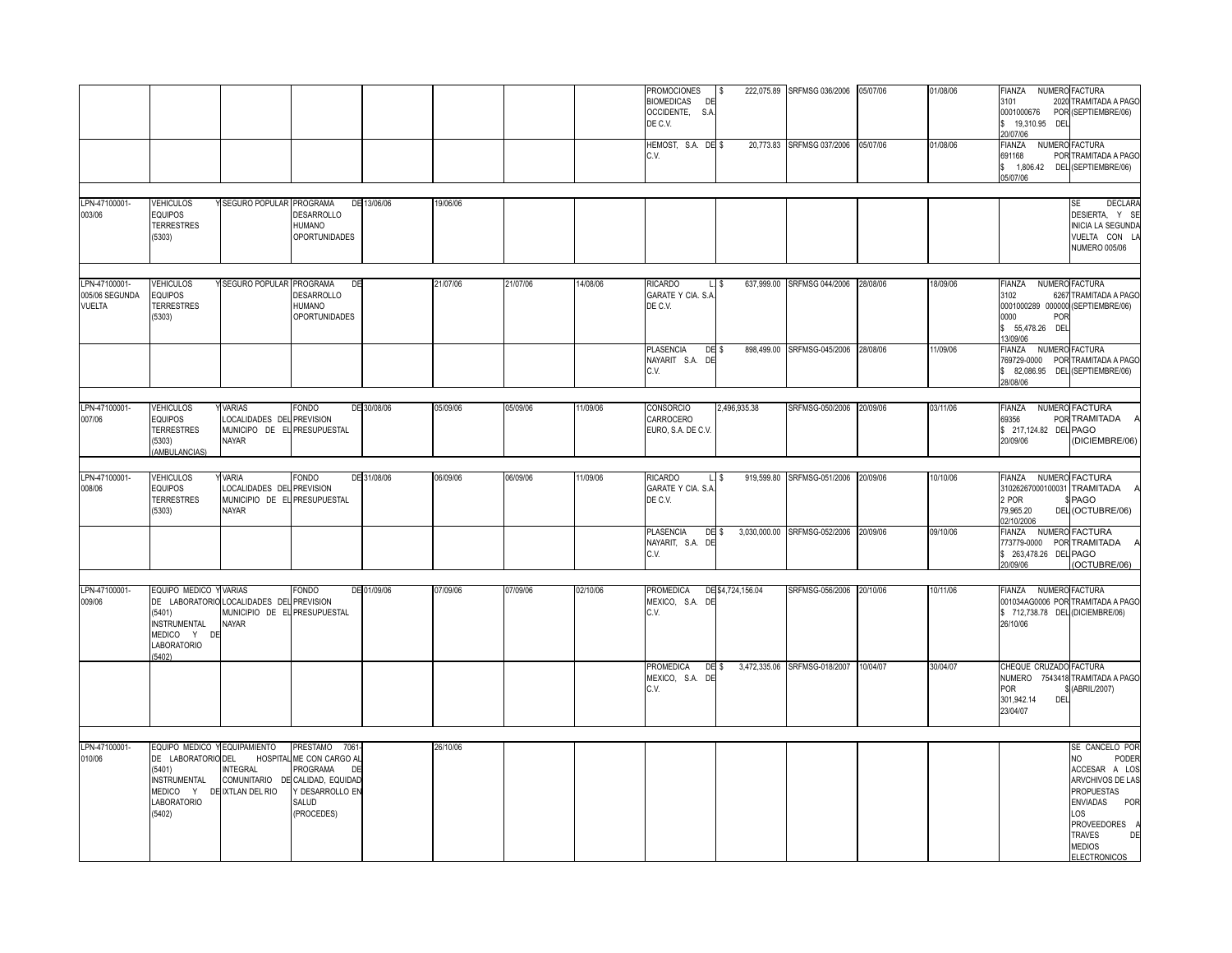|                                                                                   |                           |                                                                                                                                                                                         |                                                                                                                                                                                                                                                                                                                                                                                                                                   |                                                 |                      |                                  | DE C.V.<br>HEMOST, S.A. DE \$<br>C.V.               |              | 20,773.83 SRFMSG 037/2006                                                                                                                       | 05/07/06                                                                                           | 01/08/06                                                                                                                                                          | 0001000676<br>\$ 19,310.95 DEL<br>20/07/06<br>FIANZA<br>691168 | POR (SEPTIEMBRE/06)<br>NUMERO FACTURA<br>POR TRAMITADA A PAGO                                                                                                                                                                                                                                                                 |
|-----------------------------------------------------------------------------------|---------------------------|-----------------------------------------------------------------------------------------------------------------------------------------------------------------------------------------|-----------------------------------------------------------------------------------------------------------------------------------------------------------------------------------------------------------------------------------------------------------------------------------------------------------------------------------------------------------------------------------------------------------------------------------|-------------------------------------------------|----------------------|----------------------------------|-----------------------------------------------------|--------------|-------------------------------------------------------------------------------------------------------------------------------------------------|----------------------------------------------------------------------------------------------------|-------------------------------------------------------------------------------------------------------------------------------------------------------------------|----------------------------------------------------------------|-------------------------------------------------------------------------------------------------------------------------------------------------------------------------------------------------------------------------------------------------------------------------------------------------------------------------------|
|                                                                                   |                           |                                                                                                                                                                                         |                                                                                                                                                                                                                                                                                                                                                                                                                                   |                                                 |                      |                                  |                                                     |              |                                                                                                                                                 |                                                                                                    |                                                                                                                                                                   | \$ 1,806.42 DEL (SEPTIEMBRE/06)<br>05/07/06                    |                                                                                                                                                                                                                                                                                                                               |
| <b>VEHICULOS</b>                                                                  | Y SEGURO POPULAR PROGRAMA |                                                                                                                                                                                         | DE 13/06/06                                                                                                                                                                                                                                                                                                                                                                                                                       | 19/06/06                                        |                      |                                  |                                                     |              |                                                                                                                                                 |                                                                                                    |                                                                                                                                                                   |                                                                | <b>DECLARA</b><br><b>SE</b>                                                                                                                                                                                                                                                                                                   |
| <b>EQUIPOS</b><br><b>TERRESTRES</b><br>(5303)                                     |                           | <b>DESARROLLO</b><br>HUMANO<br><b>OPORTUNIDADES</b>                                                                                                                                     |                                                                                                                                                                                                                                                                                                                                                                                                                                   |                                                 |                      |                                  |                                                     |              |                                                                                                                                                 |                                                                                                    |                                                                                                                                                                   |                                                                | DESIERTA, Y SE<br><b>INICIA LA SEGUNDA</b><br>VUELTA CON L<br><b>NUMERO 005/06</b>                                                                                                                                                                                                                                            |
|                                                                                   |                           |                                                                                                                                                                                         |                                                                                                                                                                                                                                                                                                                                                                                                                                   |                                                 |                      |                                  |                                                     |              |                                                                                                                                                 |                                                                                                    |                                                                                                                                                                   |                                                                |                                                                                                                                                                                                                                                                                                                               |
| <b>EQUIPOS</b><br><b>TERRESTRES</b><br>(5303)                                     |                           |                                                                                                                                                                                         |                                                                                                                                                                                                                                                                                                                                                                                                                                   |                                                 |                      |                                  | GARATE Y CIA. S.A<br>DE C.V.                        |              |                                                                                                                                                 |                                                                                                    |                                                                                                                                                                   | 3102<br>0000                                                   | 6267 TRAMITADA A PAGO                                                                                                                                                                                                                                                                                                         |
|                                                                                   |                           |                                                                                                                                                                                         |                                                                                                                                                                                                                                                                                                                                                                                                                                   |                                                 |                      |                                  | <b>PLASENCIA</b><br>C.V.                            |              |                                                                                                                                                 |                                                                                                    | 11/09/06                                                                                                                                                          | <b>FIANZA</b><br>769729-0000<br>\$ 82,086.95<br>28/08/06       | NUMERO FACTURA<br>POR TRAMITADA A PAGO<br>DEL (SEPTIEMBRE/06)                                                                                                                                                                                                                                                                 |
| <b>VEHICULOS</b><br><b>EQUIPOS</b><br><b>TERRESTRES</b><br>(5303)<br>AMBULANCIAS) |                           |                                                                                                                                                                                         |                                                                                                                                                                                                                                                                                                                                                                                                                                   | 05/09/06                                        | 05/09/06             | 11/09/06                         | <b>CONSORCIO</b><br>CARROCERO<br>EURO, S.A. DE C.V. | 2,496,935.38 |                                                                                                                                                 |                                                                                                    | 03/11/06                                                                                                                                                          | <b>FIANZA</b><br>69356<br>20/09/06                             | NUMERO FACTURA<br>POR TRAMITADA<br>(DICIEMBRE/06)                                                                                                                                                                                                                                                                             |
| <b>VEHICULOS</b><br><b>EQUIPOS</b><br><b>TERRESTRES</b><br>(5303)                 |                           |                                                                                                                                                                                         |                                                                                                                                                                                                                                                                                                                                                                                                                                   | 06/09/06                                        |                      | 11/09/06                         | RICARDO<br>GARATE Y CIA. S.A<br>DE C.V.             |              |                                                                                                                                                 |                                                                                                    | 10/10/06                                                                                                                                                          | 31026267000100031<br>2 POR<br>79,965.20<br>02/10/2006          | TRAMITADA<br>PAGO<br>DEL (OCTUBRE/06)                                                                                                                                                                                                                                                                                         |
|                                                                                   |                           |                                                                                                                                                                                         |                                                                                                                                                                                                                                                                                                                                                                                                                                   |                                                 |                      |                                  | PLASENCIA<br>C.V.                                   |              |                                                                                                                                                 |                                                                                                    | 09/10/06                                                                                                                                                          | 20/09/06                                                       | (OCTUBRE/06)                                                                                                                                                                                                                                                                                                                  |
| (5401)<br><b>INSTRUMENTAL</b><br>MEDICO Y DE<br>LABORATORIO<br>(5402)             |                           |                                                                                                                                                                                         |                                                                                                                                                                                                                                                                                                                                                                                                                                   | 07/09/06                                        |                      | 02/10/06                         | <b>PROMEDICA</b><br>C.V.                            |              |                                                                                                                                                 |                                                                                                    | 10/11/06                                                                                                                                                          | 26/10/06                                                       | 001034AG0006 POR TRAMITADA A PAGO                                                                                                                                                                                                                                                                                             |
|                                                                                   |                           |                                                                                                                                                                                         |                                                                                                                                                                                                                                                                                                                                                                                                                                   |                                                 |                      |                                  | <b>PROMEDICA</b><br>C.V.                            |              |                                                                                                                                                 |                                                                                                    | 30/04/07                                                                                                                                                          | <b>POR</b><br>301,942.14<br>DEI<br>23/04/07                    | NUMERO 7543418 TRAMITADA A PAGO<br>(ABRIL/2007)                                                                                                                                                                                                                                                                               |
|                                                                                   |                           |                                                                                                                                                                                         |                                                                                                                                                                                                                                                                                                                                                                                                                                   |                                                 |                      |                                  |                                                     |              |                                                                                                                                                 |                                                                                                    |                                                                                                                                                                   |                                                                | SE CANCELO POR                                                                                                                                                                                                                                                                                                                |
| (5401)<br><b>INSTRUMENTAL</b><br>MEDICO Y<br>LABORATORIO<br>(5402)                |                           | DE<br>DESARROLLO EN<br>SALUD<br>(PROCEDES)                                                                                                                                              |                                                                                                                                                                                                                                                                                                                                                                                                                                   |                                                 |                      |                                  |                                                     |              |                                                                                                                                                 |                                                                                                    |                                                                                                                                                                   |                                                                | NO.<br>PODER<br>ACCESAR A LOS<br>ARVCHIVOS DE LAS<br>PROPUESTAS<br><b>ENVIADAS</b><br>POR<br>LOS<br>PROVEEDORES<br><b>TRAVES</b><br>DE<br><b>MEDIOS</b>                                                                                                                                                                       |
|                                                                                   | <b>VEHICULOS</b>          | <b>VARIAS</b><br>NAYAR<br><b>VARIA</b><br><b>NAYAR</b><br>EQUIPO MEDICO Y VARIAS<br>NAYAR<br>EQUIPO MEDICO Y EQUIPAMIENTO<br>DE LABORATORIO DEL<br><b>INTEGRAL</b><br>DE IXTLAN DEL RIO | Y SEGURO POPULAR PROGRAMA<br><b>DESARROLLO</b><br>HUMANO<br><b>OPORTUNIDADES</b><br><b>FONDO</b><br>LOCALIDADES DEL PREVISION<br>MUNICIPO DE EL PRESUPUESTAL<br><b>FONDO</b><br>LOCALIDADES DEL PREVISION<br>MUNICIPIO DE EL PRESUPUESTAL<br><b>FONDO</b><br>DE LABORATORIO LOCALIDADES DEL PREVISION<br>MUNICIPIO DE EL PRESUPUESTAL<br>PRESTAMO 7061<br>HOSPITAL ME CON CARGO AL<br>PROGRAMA<br>COMUNITARIO DE CALIDAD, EQUIDAD | DE<br>DE 30/08/06<br>DE 31/08/06<br>DE 01/09/06 | 21/07/06<br>26/10/06 | 21/07/06<br>06/09/06<br>07/09/06 | 14/08/06                                            | RICARDO      | $L.$ \$<br>DE \$<br>NAYARIT S.A. DE<br>$L.$ \$<br>DE \$<br>NAYARIT, S.A. DE<br>DE \$4,724,156.04<br>MEXICO, S.A. DE<br>DE \$<br>MEXICO, S.A. DE | SRFMSG-050/2006<br>3,030,000.00 SRFMSG-052/2006<br>SRFMSG-056/2006<br>3,472,335.06 SRFMSG-018/2007 | 637,999.00 SRFMSG 044/2006 28/08/06<br>898.499.00 SRFMSG-045/2006 28/08/06<br>20/09/06<br>919,599.80 SRFMSG-051/2006 20/09/06<br>20/09/06<br>20/10/06<br>10/04/07 | 18/09/06                                                       | NUMERO FACTURA<br>FIANZA<br>0001000289 000000 (SEPTIEMBRE/06)<br>POR<br>\$ 55,478.26 DEL<br>13/09/06<br>\$ 217,124.82 DEL PAGO<br>FIANZA NUMERO FACTURA<br>FIANZA NUMERO FACTURA<br>773779-0000 POR TRAMITADA<br>\$ 263,478.26 DEL PAGO<br>FIANZA NUMERO FACTURA<br>\$712,738.78 DEL (DICIEMBRE/06)<br>CHEQUE CRUZADO FACTURA |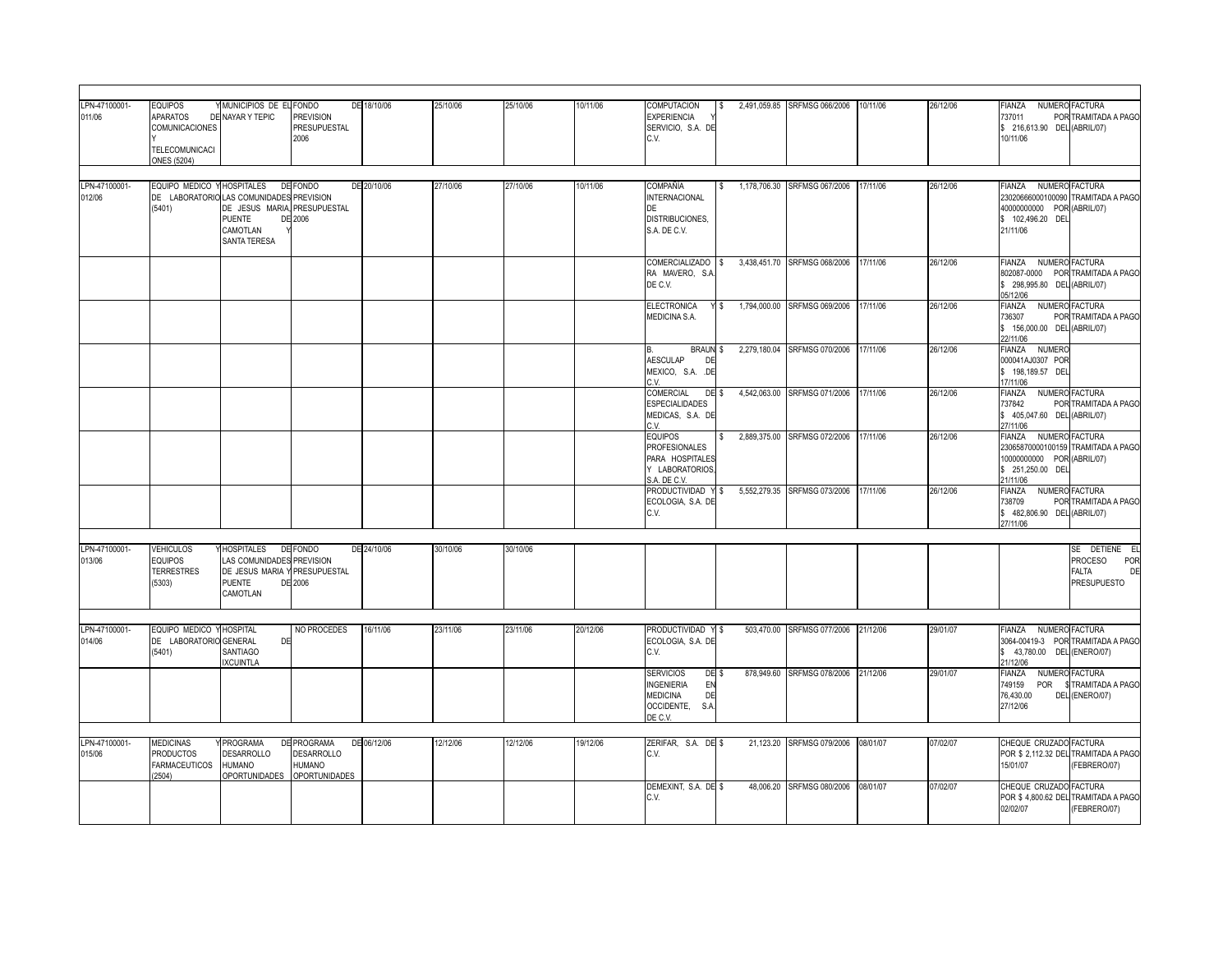| LPN-47100001-<br>011/06 | EQUIPOS<br>APARATOS<br>COMUNICACIONES<br>TELECOMUNICACI<br>ONES (5204) | MMUNICIPIOS DE EL FONDO<br>DE NAYAR Y TEPIC                                                                                  | <b>PREVISION</b><br>PRESUPUESTAL<br>2006                           | DE 18/10/06 | 25/10/06 | 25/10/06 | 10/11/06 | <b>COMPUTACION</b><br><b>EXPERIENCIA</b><br>SERVICIO, S.A. DE<br>C.V.                                                  |       | 2.491.059.85 SRFMSG 066/2006 10/11/06 |          | 26/12/06 | FIANZA<br>NUMERO FACTURA<br>POR TRAMITADA A PAGO<br>737011<br>\$ 216,613.90 DEL (ABRIL/07)<br>10/11/06                               |
|-------------------------|------------------------------------------------------------------------|------------------------------------------------------------------------------------------------------------------------------|--------------------------------------------------------------------|-------------|----------|----------|----------|------------------------------------------------------------------------------------------------------------------------|-------|---------------------------------------|----------|----------|--------------------------------------------------------------------------------------------------------------------------------------|
| LPN-47100001-<br>012/06 | EQUIPO MEDICO Y HOSPITALES<br>(5401)                                   | DE LABORATORIO LAS COMUNIDADES PREVISION<br>DE JESUS MARIA, PRESUPUESTAL<br><b>PUENTE</b><br>CAMOTLAN<br><b>SANTA TERESA</b> | DE FONDO<br>DE 2006                                                | DE 20/10/06 | 27/10/06 | 27/10/06 | 10/11/06 | COMPAÑÍA<br><b>INTERNACIONAL</b><br>DE<br>DISTRIBUCIONES,<br>S.A. DE C.V.                                              |       | 1,178,706.30 SRFMSG 067/2006 17/11/06 |          | 26/12/06 | FIANZA NUMERO FACTURA<br>23020666000100090 TRAMITADA A PAGO<br>40000000000 POR (ABRIL/07)<br>\$ 102,496.20 DEL<br>21/11/06           |
|                         |                                                                        |                                                                                                                              |                                                                    |             |          |          |          | COMERCIALIZADO \$<br>RA MAVERO, S.A.<br>DE C.V.                                                                        |       | 3,438,451.70 SRFMSG 068/2006 17/11/06 |          | 26/12/06 | FIANZA NUMERO FACTURA<br>802087-0000 POR TRAMITADA A PAGO<br>\$ 298,995.80 DEL (ABRIL/07)<br>05/12/06                                |
|                         |                                                                        |                                                                                                                              |                                                                    |             |          |          |          | <b>ELECTRONICA</b><br>MEDICINA S.A.                                                                                    | YS    | 1,794,000.00 SRFMSG 069/2006          | 17/11/06 | 26/12/06 | NUMERO FACTURA<br>FIANZA<br>POR TRAMITADA A PAGO<br>736307<br>\$156,000.00 DEL (ABRIL/07)<br>22/11/06                                |
|                         |                                                                        |                                                                                                                              |                                                                    |             |          |          |          | <b>BRAUN \$</b><br>AESCULAP<br>DE<br>MEXICO, S.A. .DE<br>C.V.                                                          |       | 2,279,180.04 SRFMSG 070/2006 17/11/06 |          | 26/12/06 | FIANZA NUMERO<br>000041AJ0307 POR<br>\$ 198,189.57 DEL<br>17/11/06                                                                   |
|                         |                                                                        |                                                                                                                              |                                                                    |             |          |          |          | COMERCIAL<br><b>ESPECIALIDADES</b><br>MEDICAS, S.A. DE<br>C.V.                                                         | DE \$ | 4,542,063.00 SRFMSG 071/2006 17/11/06 |          | 26/12/06 | FIANZA<br>NUMERO FACTURA<br>737842<br>POR TRAMITADA A PAGO<br>\$ 405,047.60 DEL (ABRIL/07)<br>27/11/06                               |
|                         |                                                                        |                                                                                                                              |                                                                    |             |          |          |          | <b>EQUIPOS</b><br><b>PROFESIONALES</b><br>PARA HOSPITALES<br>Y LABORATORIOS,<br>S.A. DE C.V.                           |       | 2,889,375.00 SRFMSG 072/2006 17/11/06 |          | 26/12/06 | NUMERO FACTURA<br><b>FIANZA</b><br>23065870000100159 TRAMITADA A PAGO<br>10000000000 POR (ABRIL/07)<br>\$ 251,250.00 DEL<br>21/11/06 |
|                         |                                                                        |                                                                                                                              |                                                                    |             |          |          |          | PRODUCTIVIDAD Y \$<br>ECOLOGIA, S.A. DE<br>C.V.                                                                        |       | 5,552,279.35 SRFMSG 073/2006 17/11/06 |          | 26/12/06 | <b>FIANZA</b><br>NUMERO FACTURA<br>738709<br>POR TRAMITADA A PAGO<br>\$482,806.90 DEL (ABRIL/07)<br>27/11/06                         |
| LPN-47100001-<br>013/06 | <b>VEHICULOS</b><br><b>EQUIPOS</b><br><b>TERRESTRES</b><br>(5303)      | HOSPITALES DE FONDO<br>LAS COMUNIDADES PREVISION<br>DE JESUS MARIA Y PRESUPUESTAL<br>PUENTE<br>CAMOTLAN                      | DE 2006                                                            | DE 24/10/06 | 30/10/06 | 30/10/06 |          |                                                                                                                        |       |                                       |          |          | SE DETIENE EL<br>PROCESO<br>POR<br>FALTA<br>DE<br><b>PRESUPUESTO</b>                                                                 |
| LPN-47100001-<br>014/06 | EQUIPO MEDICO Y HOSPITAL<br>DE LABORATORIO GENERAL<br>(5401)           | DE<br>SANTIAGO<br><b>IXCUINTLA</b>                                                                                           | NO PROCEDES                                                        | 16/11/06    | 23/11/06 | 23/11/06 | 20/12/06 | PRODUCTIVIDAD Y \$<br>ECOLOGIA, S.A. DE<br>C.V.                                                                        |       | 503,470.00 SRFMSG 077/2006 21/12/06   |          | 29/01/07 | FIANZA NUMERO FACTURA<br>3064-00419-3 POR TRAMITADA A PAGO<br>\$43,780.00 DEL (ENERO/07)<br>21/12/06                                 |
|                         |                                                                        |                                                                                                                              |                                                                    |             |          |          |          | DE <sub>\$</sub><br><b>SERVICIOS</b><br><b>INGENIERIA</b><br>EN<br><b>MEDICINA</b><br>DE<br>OCCIDENTE, S.A.<br>DE C.V. |       | 878,949.60 SRFMSG 078/2006            | 21/12/06 | 29/01/07 | NUMERO FACTURA<br><b>FIANZA</b><br>\$TRAMITADA A PAGO<br>749159<br>POR<br>76,430.00<br>DEL (ENERO/07)<br>27/12/06                    |
|                         |                                                                        |                                                                                                                              |                                                                    |             |          |          |          |                                                                                                                        |       |                                       |          |          |                                                                                                                                      |
| LPN-47100001-<br>015/06 | <b>MEDICINAS</b><br><b>PRODUCTOS</b><br><b>FARMACEUTICOS</b><br>2504)  | PROGRAMA<br><b>DESARROLLO</b><br><b>HUMANO</b><br><b>OPORTUNIDADES</b>                                                       | DE PROGRAMA<br><b>DESARROLLO</b><br>HUMANO<br><b>OPORTUNIDADES</b> | DE 06/12/06 | 12/12/06 | 12/12/06 | 19/12/06 | ZERIFAR, S.A. DE \$<br>C.V.                                                                                            |       | 21,123.20 SRFMSG 079/2006             | 08/01/07 | 07/02/07 | CHEQUE CRUZADO FACTURA<br>POR \$ 2,112.32 DEL TRAMITADA A PAGO<br>15/01/07<br>(FEBRERO/07)                                           |
|                         |                                                                        |                                                                                                                              |                                                                    |             |          |          |          | DEMEXINT, S.A. DE \$<br>C.V.                                                                                           |       | 48.006.20 SRFMSG 080/2006             | 08/01/07 | 07/02/07 | CHEQUE CRUZADO FACTURA<br>POR \$4,800.62 DEL TRAMITADA A PAGO<br>02/02/07<br>(FEBRERO/07)                                            |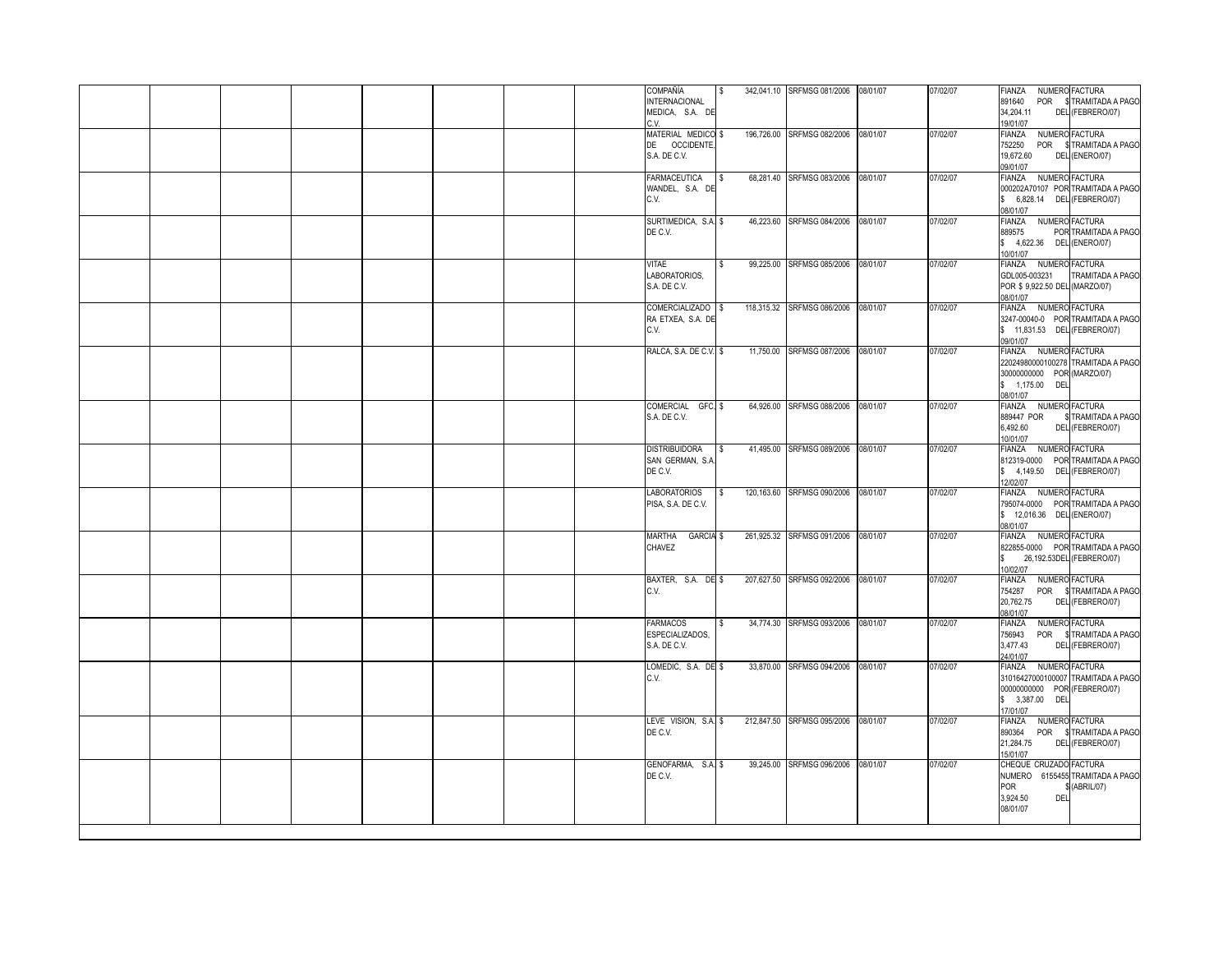| MEDICA, S.A. DE<br>34,204.11<br>DEL (FEBRERO/07)<br>C.V<br>19/01/07<br>MATERIAL MEDICO \$<br>196,726.00 SRFMSG 082/2006 08/01/07<br>07/02/07<br>NUMERO FACTURA<br>FIANZA<br>DE OCCIDENTE,<br>S.A. DE C.V.<br>19,672.60<br>DEL (ENERO/07)<br>09/01/07<br>68,281.40 SRFMSG 083/2006 08/01/07<br><b>FARMACEUTICA</b><br>07/02/07<br>FIANZA NUMERO FACTURA<br>WANDEL, S.A. DE<br>\$ 6,828.14 DEL (FEBRERO/07)<br>C.V.<br>08/01/07<br>SURTIMEDICA, S.A. \$<br>46,223.60 SRFMSG 084/2006 08/01/07<br>07/02/07<br><b>FIANZA</b><br>NUMERO FACTURA<br>DE C.V.<br>889575<br>\$ 4,622.36 DEL (ENERO/07)<br>10/01/07<br>99,225.00 SRFMSG 085/2006 08/01/07<br>07/02/07<br>FIANZA NUMERO FACTURA<br>VITAE<br>LABORATORIOS,<br>GDL005-003231<br>POR \$9,922.50 DEL (MARZO/07)<br>S.A. DE C.V.<br>08/01/07<br>COMERCIALIZADO \$<br>118,315.32 SRFMSG 086/2006 08/01/07<br>07/02/07<br>FIANZA NUMERO FACTURA<br>RA ETXEA, S.A. DE<br>\$ 11,831.53 DEL (FEBRERO/07)<br>C.V.<br>09/01/07<br>FIANZA NUMERO FACTURA<br>RALCA, S.A. DE C.V. \$<br>11,750.00 SRFMSG 087/2006 08/01/07<br>07/02/07<br>30000000000 POR (MARZO/07)<br>\$ 1,175.00 DEL<br>08/01/07<br>COMERCIAL GFC, \$<br>64,926.00 SRFMSG 088/2006 08/01/07<br>07/02/07<br><b>FIANZA</b><br>NUMERO FACTURA<br>S.A. DE C.V.<br>889447 POR<br>6,492.60<br>DEL (FEBRERO/07)<br>10/01/07<br><b>DISTRIBUIDORA</b><br>41,495.00 SRFMSG 089/2006<br>07/02/07<br>FIANZA NUMERO FACTURA<br>08/01/07<br>$\mathbb{S}$<br>SAN GERMAN, S.A.<br>DE C.V.<br>\$4,149.50 DEL (FEBRERO/07)<br>12/02/07<br><b>LABORATORIOS</b><br>120,163.60 SRFMSG 090/2006 08/01/07<br>07/02/07<br>FIANZA NUMERO FACTURA<br>PISA, S.A. DE C.V.<br>\$ 12,016.36 DEL (ENERO/07)<br>08/01/07<br><b>GARCIA \$</b><br>261.925.32 SRFMSG 091/2006 08/01/07<br>07/02/07<br>FIANZA NUMERO FACTURA<br>MARTHA<br>CHAVEZ<br>26,192.53DEL (FEBRERO/07)<br>10/02/07<br>BAXTER, S.A. DE \$<br>207,627.50 SRFMSG 092/2006 08/01/07<br>07/02/07<br>FIANZA<br>NUMERO FACTURA<br>C.V.<br>754287<br>20,762.75<br>DEL (FEBRERO/07)<br>08/01/07<br><b>FARMACOS</b><br>34,774.30 SRFMSG 093/2006 08/01/07<br>NUMERO FACTURA<br>07/02/07<br>FIANZA<br>ESPECIALIZADOS,<br>756943<br><b>POR</b><br>S.A. DE C.V.<br>3,477.43<br>DEL (FEBRERO/07)<br>24/01/07<br>33,870.00 SRFMSG 094/2006 08/01/07<br>NUMERO FACTURA<br>LOMEDIC, S.A. DE \$<br>07/02/07<br>FIANZA<br>C.V.<br>00000000000 POR (FEBRERO/07)<br>\$ 3,387.00 DEL<br>17/01/07<br>212,847.50 SRFMSG 095/2006 08/01/07<br>LEVE VISION, S.A. \$<br>07/02/07<br>NUMERO FACTURA<br><b>FIANZA</b><br>DE C.V.<br>890364<br>DEL (FEBRERO/07)<br>21,284.75<br>15/01/07<br>GENOFARMA, S.A. \$<br>39.245.00 SRFMSG 096/2006 08/01/07<br>07/02/07<br>CHEQUE CRUZADO FACTURA<br>DE C.V.<br>POR<br>(ABRIL/07)<br>3,924.50<br>DEL<br>08/01/07 |  |  |  |  | COMPAÑÍA<br><b>INTERNACIONAL</b> |  | 342,041.10 SRFMSG 081/2006 08/01/07 | 07/02/07 | FIANZA NUMERO FACTURA | 891640 POR \$TRAMITADA A PAGO |
|-------------------------------------------------------------------------------------------------------------------------------------------------------------------------------------------------------------------------------------------------------------------------------------------------------------------------------------------------------------------------------------------------------------------------------------------------------------------------------------------------------------------------------------------------------------------------------------------------------------------------------------------------------------------------------------------------------------------------------------------------------------------------------------------------------------------------------------------------------------------------------------------------------------------------------------------------------------------------------------------------------------------------------------------------------------------------------------------------------------------------------------------------------------------------------------------------------------------------------------------------------------------------------------------------------------------------------------------------------------------------------------------------------------------------------------------------------------------------------------------------------------------------------------------------------------------------------------------------------------------------------------------------------------------------------------------------------------------------------------------------------------------------------------------------------------------------------------------------------------------------------------------------------------------------------------------------------------------------------------------------------------------------------------------------------------------------------------------------------------------------------------------------------------------------------------------------------------------------------------------------------------------------------------------------------------------------------------------------------------------------------------------------------------------------------------------------------------------------------------------------------------------------------------------------------------------------------------------------------------------------------------------------------------------------------------------------------------------------------------------------------------------------|--|--|--|--|----------------------------------|--|-------------------------------------|----------|-----------------------|-------------------------------|
| 752250 POR \$TRAMITADA A PAGO<br>000202A70107 POR TRAMITADA A PAGO<br>POR TRAMITADA A PAGO<br>TRAMITADA A PAGO<br>3247-00040-0 POR TRAMITADA A PAGO<br>22024980000100278 TRAMITADA A PAGO<br>\$TRAMITADA A PAGO<br>812319-0000 POR TRAMITADA A PAGO<br>795074-0000 POR TRAMITADA A PAGO<br>822855-0000 POR TRAMITADA A PAGO<br>POR \$TRAMITADA A PAGO<br>\$TRAMITADA A PAGO<br>31016427000100007 TRAMITADA A PAGO<br>POR \$TRAMITADA A PAGO<br>NUMERO 6155455 TRAMITADA A PAGO                                                                                                                                                                                                                                                                                                                                                                                                                                                                                                                                                                                                                                                                                                                                                                                                                                                                                                                                                                                                                                                                                                                                                                                                                                                                                                                                                                                                                                                                                                                                                                                                                                                                                                                                                                                                                                                                                                                                                                                                                                                                                                                                                                                                                                                                                          |  |  |  |  |                                  |  |                                     |          |                       |                               |
|                                                                                                                                                                                                                                                                                                                                                                                                                                                                                                                                                                                                                                                                                                                                                                                                                                                                                                                                                                                                                                                                                                                                                                                                                                                                                                                                                                                                                                                                                                                                                                                                                                                                                                                                                                                                                                                                                                                                                                                                                                                                                                                                                                                                                                                                                                                                                                                                                                                                                                                                                                                                                                                                                                                                                                         |  |  |  |  |                                  |  |                                     |          |                       |                               |
|                                                                                                                                                                                                                                                                                                                                                                                                                                                                                                                                                                                                                                                                                                                                                                                                                                                                                                                                                                                                                                                                                                                                                                                                                                                                                                                                                                                                                                                                                                                                                                                                                                                                                                                                                                                                                                                                                                                                                                                                                                                                                                                                                                                                                                                                                                                                                                                                                                                                                                                                                                                                                                                                                                                                                                         |  |  |  |  |                                  |  |                                     |          |                       |                               |
|                                                                                                                                                                                                                                                                                                                                                                                                                                                                                                                                                                                                                                                                                                                                                                                                                                                                                                                                                                                                                                                                                                                                                                                                                                                                                                                                                                                                                                                                                                                                                                                                                                                                                                                                                                                                                                                                                                                                                                                                                                                                                                                                                                                                                                                                                                                                                                                                                                                                                                                                                                                                                                                                                                                                                                         |  |  |  |  |                                  |  |                                     |          |                       |                               |
|                                                                                                                                                                                                                                                                                                                                                                                                                                                                                                                                                                                                                                                                                                                                                                                                                                                                                                                                                                                                                                                                                                                                                                                                                                                                                                                                                                                                                                                                                                                                                                                                                                                                                                                                                                                                                                                                                                                                                                                                                                                                                                                                                                                                                                                                                                                                                                                                                                                                                                                                                                                                                                                                                                                                                                         |  |  |  |  |                                  |  |                                     |          |                       |                               |
|                                                                                                                                                                                                                                                                                                                                                                                                                                                                                                                                                                                                                                                                                                                                                                                                                                                                                                                                                                                                                                                                                                                                                                                                                                                                                                                                                                                                                                                                                                                                                                                                                                                                                                                                                                                                                                                                                                                                                                                                                                                                                                                                                                                                                                                                                                                                                                                                                                                                                                                                                                                                                                                                                                                                                                         |  |  |  |  |                                  |  |                                     |          |                       |                               |
|                                                                                                                                                                                                                                                                                                                                                                                                                                                                                                                                                                                                                                                                                                                                                                                                                                                                                                                                                                                                                                                                                                                                                                                                                                                                                                                                                                                                                                                                                                                                                                                                                                                                                                                                                                                                                                                                                                                                                                                                                                                                                                                                                                                                                                                                                                                                                                                                                                                                                                                                                                                                                                                                                                                                                                         |  |  |  |  |                                  |  |                                     |          |                       |                               |
|                                                                                                                                                                                                                                                                                                                                                                                                                                                                                                                                                                                                                                                                                                                                                                                                                                                                                                                                                                                                                                                                                                                                                                                                                                                                                                                                                                                                                                                                                                                                                                                                                                                                                                                                                                                                                                                                                                                                                                                                                                                                                                                                                                                                                                                                                                                                                                                                                                                                                                                                                                                                                                                                                                                                                                         |  |  |  |  |                                  |  |                                     |          |                       |                               |
|                                                                                                                                                                                                                                                                                                                                                                                                                                                                                                                                                                                                                                                                                                                                                                                                                                                                                                                                                                                                                                                                                                                                                                                                                                                                                                                                                                                                                                                                                                                                                                                                                                                                                                                                                                                                                                                                                                                                                                                                                                                                                                                                                                                                                                                                                                                                                                                                                                                                                                                                                                                                                                                                                                                                                                         |  |  |  |  |                                  |  |                                     |          |                       |                               |
|                                                                                                                                                                                                                                                                                                                                                                                                                                                                                                                                                                                                                                                                                                                                                                                                                                                                                                                                                                                                                                                                                                                                                                                                                                                                                                                                                                                                                                                                                                                                                                                                                                                                                                                                                                                                                                                                                                                                                                                                                                                                                                                                                                                                                                                                                                                                                                                                                                                                                                                                                                                                                                                                                                                                                                         |  |  |  |  |                                  |  |                                     |          |                       |                               |
|                                                                                                                                                                                                                                                                                                                                                                                                                                                                                                                                                                                                                                                                                                                                                                                                                                                                                                                                                                                                                                                                                                                                                                                                                                                                                                                                                                                                                                                                                                                                                                                                                                                                                                                                                                                                                                                                                                                                                                                                                                                                                                                                                                                                                                                                                                                                                                                                                                                                                                                                                                                                                                                                                                                                                                         |  |  |  |  |                                  |  |                                     |          |                       |                               |
|                                                                                                                                                                                                                                                                                                                                                                                                                                                                                                                                                                                                                                                                                                                                                                                                                                                                                                                                                                                                                                                                                                                                                                                                                                                                                                                                                                                                                                                                                                                                                                                                                                                                                                                                                                                                                                                                                                                                                                                                                                                                                                                                                                                                                                                                                                                                                                                                                                                                                                                                                                                                                                                                                                                                                                         |  |  |  |  |                                  |  |                                     |          |                       |                               |
|                                                                                                                                                                                                                                                                                                                                                                                                                                                                                                                                                                                                                                                                                                                                                                                                                                                                                                                                                                                                                                                                                                                                                                                                                                                                                                                                                                                                                                                                                                                                                                                                                                                                                                                                                                                                                                                                                                                                                                                                                                                                                                                                                                                                                                                                                                                                                                                                                                                                                                                                                                                                                                                                                                                                                                         |  |  |  |  |                                  |  |                                     |          |                       |                               |
|                                                                                                                                                                                                                                                                                                                                                                                                                                                                                                                                                                                                                                                                                                                                                                                                                                                                                                                                                                                                                                                                                                                                                                                                                                                                                                                                                                                                                                                                                                                                                                                                                                                                                                                                                                                                                                                                                                                                                                                                                                                                                                                                                                                                                                                                                                                                                                                                                                                                                                                                                                                                                                                                                                                                                                         |  |  |  |  |                                  |  |                                     |          |                       |                               |
|                                                                                                                                                                                                                                                                                                                                                                                                                                                                                                                                                                                                                                                                                                                                                                                                                                                                                                                                                                                                                                                                                                                                                                                                                                                                                                                                                                                                                                                                                                                                                                                                                                                                                                                                                                                                                                                                                                                                                                                                                                                                                                                                                                                                                                                                                                                                                                                                                                                                                                                                                                                                                                                                                                                                                                         |  |  |  |  |                                  |  |                                     |          |                       |                               |
|                                                                                                                                                                                                                                                                                                                                                                                                                                                                                                                                                                                                                                                                                                                                                                                                                                                                                                                                                                                                                                                                                                                                                                                                                                                                                                                                                                                                                                                                                                                                                                                                                                                                                                                                                                                                                                                                                                                                                                                                                                                                                                                                                                                                                                                                                                                                                                                                                                                                                                                                                                                                                                                                                                                                                                         |  |  |  |  |                                  |  |                                     |          |                       |                               |
|                                                                                                                                                                                                                                                                                                                                                                                                                                                                                                                                                                                                                                                                                                                                                                                                                                                                                                                                                                                                                                                                                                                                                                                                                                                                                                                                                                                                                                                                                                                                                                                                                                                                                                                                                                                                                                                                                                                                                                                                                                                                                                                                                                                                                                                                                                                                                                                                                                                                                                                                                                                                                                                                                                                                                                         |  |  |  |  |                                  |  |                                     |          |                       |                               |
|                                                                                                                                                                                                                                                                                                                                                                                                                                                                                                                                                                                                                                                                                                                                                                                                                                                                                                                                                                                                                                                                                                                                                                                                                                                                                                                                                                                                                                                                                                                                                                                                                                                                                                                                                                                                                                                                                                                                                                                                                                                                                                                                                                                                                                                                                                                                                                                                                                                                                                                                                                                                                                                                                                                                                                         |  |  |  |  |                                  |  |                                     |          |                       |                               |
|                                                                                                                                                                                                                                                                                                                                                                                                                                                                                                                                                                                                                                                                                                                                                                                                                                                                                                                                                                                                                                                                                                                                                                                                                                                                                                                                                                                                                                                                                                                                                                                                                                                                                                                                                                                                                                                                                                                                                                                                                                                                                                                                                                                                                                                                                                                                                                                                                                                                                                                                                                                                                                                                                                                                                                         |  |  |  |  |                                  |  |                                     |          |                       |                               |
|                                                                                                                                                                                                                                                                                                                                                                                                                                                                                                                                                                                                                                                                                                                                                                                                                                                                                                                                                                                                                                                                                                                                                                                                                                                                                                                                                                                                                                                                                                                                                                                                                                                                                                                                                                                                                                                                                                                                                                                                                                                                                                                                                                                                                                                                                                                                                                                                                                                                                                                                                                                                                                                                                                                                                                         |  |  |  |  |                                  |  |                                     |          |                       |                               |
|                                                                                                                                                                                                                                                                                                                                                                                                                                                                                                                                                                                                                                                                                                                                                                                                                                                                                                                                                                                                                                                                                                                                                                                                                                                                                                                                                                                                                                                                                                                                                                                                                                                                                                                                                                                                                                                                                                                                                                                                                                                                                                                                                                                                                                                                                                                                                                                                                                                                                                                                                                                                                                                                                                                                                                         |  |  |  |  |                                  |  |                                     |          |                       |                               |
|                                                                                                                                                                                                                                                                                                                                                                                                                                                                                                                                                                                                                                                                                                                                                                                                                                                                                                                                                                                                                                                                                                                                                                                                                                                                                                                                                                                                                                                                                                                                                                                                                                                                                                                                                                                                                                                                                                                                                                                                                                                                                                                                                                                                                                                                                                                                                                                                                                                                                                                                                                                                                                                                                                                                                                         |  |  |  |  |                                  |  |                                     |          |                       |                               |
|                                                                                                                                                                                                                                                                                                                                                                                                                                                                                                                                                                                                                                                                                                                                                                                                                                                                                                                                                                                                                                                                                                                                                                                                                                                                                                                                                                                                                                                                                                                                                                                                                                                                                                                                                                                                                                                                                                                                                                                                                                                                                                                                                                                                                                                                                                                                                                                                                                                                                                                                                                                                                                                                                                                                                                         |  |  |  |  |                                  |  |                                     |          |                       |                               |
|                                                                                                                                                                                                                                                                                                                                                                                                                                                                                                                                                                                                                                                                                                                                                                                                                                                                                                                                                                                                                                                                                                                                                                                                                                                                                                                                                                                                                                                                                                                                                                                                                                                                                                                                                                                                                                                                                                                                                                                                                                                                                                                                                                                                                                                                                                                                                                                                                                                                                                                                                                                                                                                                                                                                                                         |  |  |  |  |                                  |  |                                     |          |                       |                               |
|                                                                                                                                                                                                                                                                                                                                                                                                                                                                                                                                                                                                                                                                                                                                                                                                                                                                                                                                                                                                                                                                                                                                                                                                                                                                                                                                                                                                                                                                                                                                                                                                                                                                                                                                                                                                                                                                                                                                                                                                                                                                                                                                                                                                                                                                                                                                                                                                                                                                                                                                                                                                                                                                                                                                                                         |  |  |  |  |                                  |  |                                     |          |                       |                               |
|                                                                                                                                                                                                                                                                                                                                                                                                                                                                                                                                                                                                                                                                                                                                                                                                                                                                                                                                                                                                                                                                                                                                                                                                                                                                                                                                                                                                                                                                                                                                                                                                                                                                                                                                                                                                                                                                                                                                                                                                                                                                                                                                                                                                                                                                                                                                                                                                                                                                                                                                                                                                                                                                                                                                                                         |  |  |  |  |                                  |  |                                     |          |                       |                               |
|                                                                                                                                                                                                                                                                                                                                                                                                                                                                                                                                                                                                                                                                                                                                                                                                                                                                                                                                                                                                                                                                                                                                                                                                                                                                                                                                                                                                                                                                                                                                                                                                                                                                                                                                                                                                                                                                                                                                                                                                                                                                                                                                                                                                                                                                                                                                                                                                                                                                                                                                                                                                                                                                                                                                                                         |  |  |  |  |                                  |  |                                     |          |                       |                               |
|                                                                                                                                                                                                                                                                                                                                                                                                                                                                                                                                                                                                                                                                                                                                                                                                                                                                                                                                                                                                                                                                                                                                                                                                                                                                                                                                                                                                                                                                                                                                                                                                                                                                                                                                                                                                                                                                                                                                                                                                                                                                                                                                                                                                                                                                                                                                                                                                                                                                                                                                                                                                                                                                                                                                                                         |  |  |  |  |                                  |  |                                     |          |                       |                               |
|                                                                                                                                                                                                                                                                                                                                                                                                                                                                                                                                                                                                                                                                                                                                                                                                                                                                                                                                                                                                                                                                                                                                                                                                                                                                                                                                                                                                                                                                                                                                                                                                                                                                                                                                                                                                                                                                                                                                                                                                                                                                                                                                                                                                                                                                                                                                                                                                                                                                                                                                                                                                                                                                                                                                                                         |  |  |  |  |                                  |  |                                     |          |                       |                               |
|                                                                                                                                                                                                                                                                                                                                                                                                                                                                                                                                                                                                                                                                                                                                                                                                                                                                                                                                                                                                                                                                                                                                                                                                                                                                                                                                                                                                                                                                                                                                                                                                                                                                                                                                                                                                                                                                                                                                                                                                                                                                                                                                                                                                                                                                                                                                                                                                                                                                                                                                                                                                                                                                                                                                                                         |  |  |  |  |                                  |  |                                     |          |                       |                               |
|                                                                                                                                                                                                                                                                                                                                                                                                                                                                                                                                                                                                                                                                                                                                                                                                                                                                                                                                                                                                                                                                                                                                                                                                                                                                                                                                                                                                                                                                                                                                                                                                                                                                                                                                                                                                                                                                                                                                                                                                                                                                                                                                                                                                                                                                                                                                                                                                                                                                                                                                                                                                                                                                                                                                                                         |  |  |  |  |                                  |  |                                     |          |                       |                               |
|                                                                                                                                                                                                                                                                                                                                                                                                                                                                                                                                                                                                                                                                                                                                                                                                                                                                                                                                                                                                                                                                                                                                                                                                                                                                                                                                                                                                                                                                                                                                                                                                                                                                                                                                                                                                                                                                                                                                                                                                                                                                                                                                                                                                                                                                                                                                                                                                                                                                                                                                                                                                                                                                                                                                                                         |  |  |  |  |                                  |  |                                     |          |                       |                               |
|                                                                                                                                                                                                                                                                                                                                                                                                                                                                                                                                                                                                                                                                                                                                                                                                                                                                                                                                                                                                                                                                                                                                                                                                                                                                                                                                                                                                                                                                                                                                                                                                                                                                                                                                                                                                                                                                                                                                                                                                                                                                                                                                                                                                                                                                                                                                                                                                                                                                                                                                                                                                                                                                                                                                                                         |  |  |  |  |                                  |  |                                     |          |                       |                               |
|                                                                                                                                                                                                                                                                                                                                                                                                                                                                                                                                                                                                                                                                                                                                                                                                                                                                                                                                                                                                                                                                                                                                                                                                                                                                                                                                                                                                                                                                                                                                                                                                                                                                                                                                                                                                                                                                                                                                                                                                                                                                                                                                                                                                                                                                                                                                                                                                                                                                                                                                                                                                                                                                                                                                                                         |  |  |  |  |                                  |  |                                     |          |                       |                               |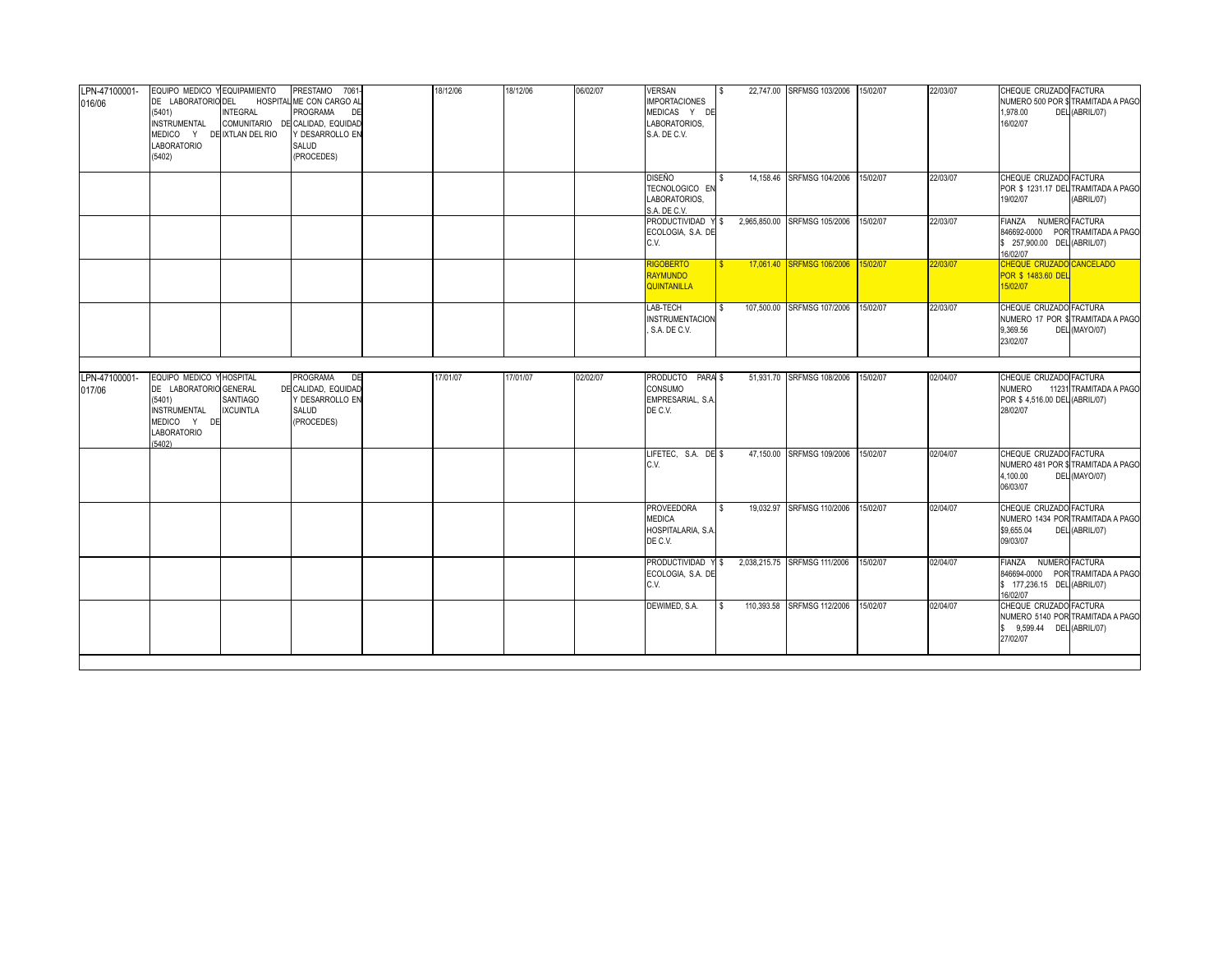| LPN-47100001-<br>016/06 | EQUIPO MEDICO Y EQUIPAMIENTO<br>DE LABORATORIO DEL<br>(5401)<br><b>INSTRUMENTAL</b><br>MEDICO Y DE IXTLAN DEL RIO<br><b>LABORATORIO</b><br>(5402) | <b>INTEGRAL</b>                                 | PRESTAMO 7061-<br>HOSPITAL ME CON CARGO AL<br><b>PROGRAMA</b><br>DE<br>COMUNITARIO DE CALIDAD, EQUIDAD<br>Y DESARROLLO EN<br>SALUD<br>(PROCEDES) | 18/12/06 | 18/12/06 | 06/02/07 | <b>VERSAN</b><br><b>IMPORTACIONES</b><br>MEDICAS Y DE<br>LABORATORIOS,<br>S.A. DE C.V. | l S  | 22,747.00 SRFMSG 103/2006 15/02/07 |          | 22/03/07 | CHEQUE CRUZADO FACTURA<br>1.978.00<br>16/02/07                                       | NUMERO 500 POR \$ TRAMITADA A PAGO<br>DEL (ABRIL/07) |
|-------------------------|---------------------------------------------------------------------------------------------------------------------------------------------------|-------------------------------------------------|--------------------------------------------------------------------------------------------------------------------------------------------------|----------|----------|----------|----------------------------------------------------------------------------------------|------|------------------------------------|----------|----------|--------------------------------------------------------------------------------------|------------------------------------------------------|
|                         |                                                                                                                                                   |                                                 |                                                                                                                                                  |          |          |          | jiseño<br>TECNOLOGICO EN<br>LABORATORIOS,<br>S.A. DE C.V.                              |      | 14.158.46 SRFMSG 104/2006          | 15/02/07 | 22/03/07 | CHEQUE CRUZADO FACTURA<br>19/02/07                                                   | POR \$1231.17 DEL TRAMITADA A PAGO<br>(ABRIL/07)     |
|                         |                                                                                                                                                   |                                                 |                                                                                                                                                  |          |          |          | PRODUCTIVIDAD Y \$<br>ECOLOGIA, S.A. DE<br>C.V.                                        |      | 2,965,850.00 SRFMSG 105/2006       | 15/02/07 | 22/03/07 | <b>FIANZA</b><br>\$ 257,900.00 DEL (ABRIL/07)<br>16/02/07                            | NUMERO FACTURA<br>846692-0000 POR TRAMITADA A PAGO   |
|                         |                                                                                                                                                   |                                                 |                                                                                                                                                  |          |          |          | <b>RIGOBERTO</b><br><b>RAYMUNDO</b><br><b>QUINTANILLA</b>                              |      | 17,061.40 SRFMSG 106/2006          | 15/02/07 | 22/03/07 | CHEQUE CRUZADO CANCELADO<br><b>POR \$ 1483.60 DEL</b><br>15/02/07                    |                                                      |
|                         |                                                                                                                                                   |                                                 |                                                                                                                                                  |          |          |          | LAB-TECH<br><b>INSTRUMENTACION</b><br>, S.A. DE C.V.                                   |      | 107,500.00 SRFMSG 107/2006         | 15/02/07 | 22/03/07 | CHEQUE CRUZADO FACTURA<br>9,369.56<br>23/02/07                                       | NUMERO 17 POR \$TRAMITADA A PAGO<br>DEL (MAYO/07)    |
| LPN-47100001-<br>017/06 | EQUIPO MEDICO Y<br>DE LABORATORIO GENERAL<br>(5401)<br><b>INSTRUMENTAL</b><br>MEDICO Y DE<br><b>LABORATORIO</b><br>(5402)                         | <b>HOSPITAL</b><br>SANTIAGO<br><b>IXCUINTLA</b> | <b>PROGRAMA</b><br>DE<br>DE CALIDAD, EQUIDAD<br>Y DESARROLLO EN<br>SALUD<br>(PROCEDES)                                                           | 17/01/07 | 17/01/07 | 02/02/07 | PRODUCTO PARA \$<br>CONSUMO<br>EMPRESARIAL, S.A.<br>DE C.V.                            |      | 51,931.70 SRFMSG 108/2006          | 15/02/07 | 02/04/07 | CHEQUE CRUZADO FACTURA<br><b>NUMERO</b><br>POR \$4,516.00 DEL (ABRIL/07)<br>28/02/07 | 11231 TRAMITADA A PAGO                               |
|                         |                                                                                                                                                   |                                                 |                                                                                                                                                  |          |          |          | LIFETEC. S.A. DE \$<br>C.V.                                                            |      | 47,150.00 SRFMSG 109/2006          | 15/02/07 | 02/04/07 | CHEQUE CRUZADO FACTURA<br>4,100.00<br>06/03/07                                       | NUMERO 481 POR \$ TRAMITADA A PAGO<br>DEL (MAYO/07)  |
|                         |                                                                                                                                                   |                                                 |                                                                                                                                                  |          |          |          | <b>PROVEEDORA</b><br>MEDICA<br>HOSPITALARIA, S.A.<br>DE C.V.                           | l \$ | 19.032.97 SRFMSG 110/2006          | 15/02/07 | 02/04/07 | CHEQUE CRUZADO FACTURA<br>\$9,655.04<br>09/03/07                                     | NUMERO 1434 POR TRAMITADA A PAGO<br>DEL (ABRIL/07)   |
|                         |                                                                                                                                                   |                                                 |                                                                                                                                                  |          |          |          | PRODUCTIVIDAD Y \$<br>ECOLOGIA, S.A. DE<br>C.V.                                        |      | 2,038,215.75 SRFMSG 111/2006       | 15/02/07 | 02/04/07 | FIANZA NUMERO FACTURA<br>\$ 177,236.15 DEL (ABRIL/07)<br>16/02/07                    | 846694-0000 POR TRAMITADA A PAGO                     |
|                         |                                                                                                                                                   |                                                 |                                                                                                                                                  |          |          |          | DEWIMED, S.A.                                                                          | l S  | 110,393.58 SRFMSG 112/2006         | 15/02/07 | 02/04/07 | CHEQUE CRUZADO FACTURA<br>\$ 9,599.44 DEL (ABRIL/07)<br>27/02/07                     | NUMERO 5140 POR TRAMITADA A PAGO                     |